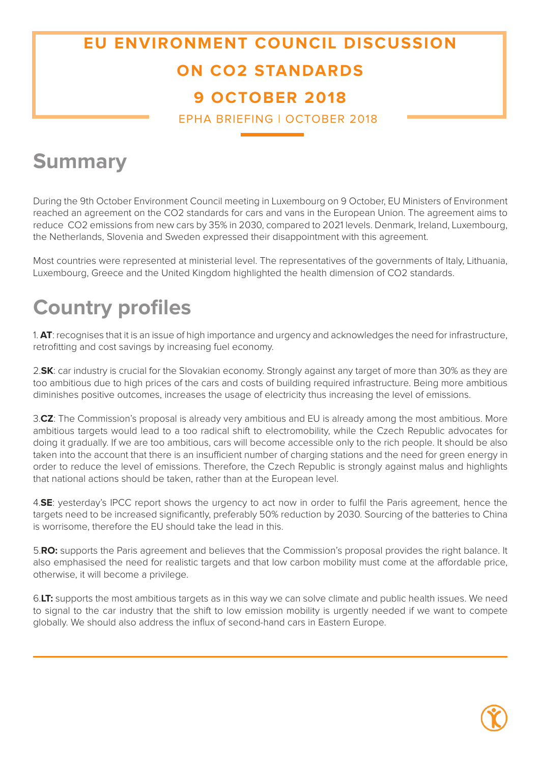## **EU ENVIRONMENT COUNCIL DISCUSSION ON CO2 STANDARDS 9 OCTOBER 2018**

EPHA BRIEFING | OCTOBER 2018

## **Summary**

During the 9th October Environment Council meeting in Luxembourg on 9 October, EU Ministers of Environment reached an agreement on the CO2 standards for cars and vans in the European Union. The agreement aims to reduce CO2 emissions from new cars by 35% in 2030, compared to 2021 levels. Denmark, Ireland, Luxembourg, the Netherlands, Slovenia and Sweden expressed their disappointment with this agreement.

Most countries were represented at ministerial level. The representatives of the governments of Italy, Lithuania, Luxembourg, Greece and the United Kingdom highlighted the health dimension of CO2 standards.

## **Country profiles**

1. **AT**: recognises that it is an issue of high importance and urgency and acknowledges the need for infrastructure, retrofitting and cost savings by increasing fuel economy.

2.**SK**: car industry is crucial for the Slovakian economy. Strongly against any target of more than 30% as they are too ambitious due to high prices of the cars and costs of building required infrastructure. Being more ambitious diminishes positive outcomes, increases the usage of electricity thus increasing the level of emissions.

3.**CZ**: The Commission's proposal is already very ambitious and EU is already among the most ambitious. More ambitious targets would lead to a too radical shift to electromobility, while the Czech Republic advocates for doing it gradually. If we are too ambitious, cars will become accessible only to the rich people. It should be also taken into the account that there is an insufficient number of charging stations and the need for green energy in order to reduce the level of emissions. Therefore, the Czech Republic is strongly against malus and highlights that national actions should be taken, rather than at the European level.

4.**SE**: yesterday's IPCC report shows the urgency to act now in order to fulfil the Paris agreement, hence the targets need to be increased significantly, preferably 50% reduction by 2030. Sourcing of the batteries to China is worrisome, therefore the EU should take the lead in this.

5.**RO:** supports the Paris agreement and believes that the Commission's proposal provides the right balance. It also emphasised the need for realistic targets and that low carbon mobility must come at the affordable price, otherwise, it will become a privilege.

6.**LT:** supports the most ambitious targets as in this way we can solve climate and public health issues. We need to signal to the car industry that the shift to low emission mobility is urgently needed if we want to compete globally. We should also address the influx of second-hand cars in Eastern Europe.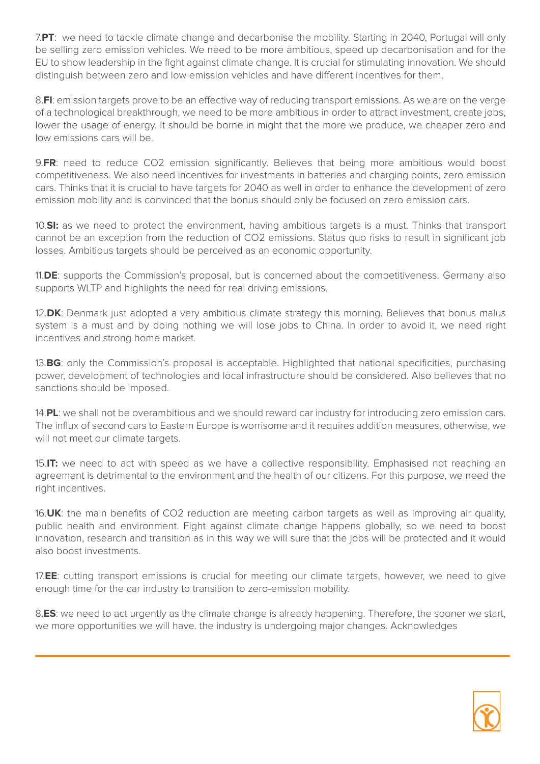7.**PT**: we need to tackle climate change and decarbonise the mobility. Starting in 2040, Portugal will only be selling zero emission vehicles. We need to be more ambitious, speed up decarbonisation and for the EU to show leadership in the fight against climate change. It is crucial for stimulating innovation. We should distinguish between zero and low emission vehicles and have different incentives for them.

8.**FI**: emission targets prove to be an effective way of reducing transport emissions. As we are on the verge of a technological breakthrough, we need to be more ambitious in order to attract investment, create jobs, lower the usage of energy. It should be borne in might that the more we produce, we cheaper zero and low emissions cars will be.

9.**FR**: need to reduce CO2 emission significantly. Believes that being more ambitious would boost competitiveness. We also need incentives for investments in batteries and charging points, zero emission cars. Thinks that it is crucial to have targets for 2040 as well in order to enhance the development of zero emission mobility and is convinced that the bonus should only be focused on zero emission cars.

10.**SI:** as we need to protect the environment, having ambitious targets is a must. Thinks that transport cannot be an exception from the reduction of CO2 emissions. Status quo risks to result in significant job losses. Ambitious targets should be perceived as an economic opportunity.

11.**DE**: supports the Commission's proposal, but is concerned about the competitiveness. Germany also supports WLTP and highlights the need for real driving emissions.

12.**DK**: Denmark just adopted a very ambitious climate strategy this morning. Believes that bonus malus system is a must and by doing nothing we will lose jobs to China. In order to avoid it, we need right incentives and strong home market.

13.**BG**: only the Commission's proposal is acceptable. Highlighted that national specificities, purchasing power, development of technologies and local infrastructure should be considered. Also believes that no sanctions should be imposed.

14.**PL**: we shall not be overambitious and we should reward car industry for introducing zero emission cars. The influx of second cars to Eastern Europe is worrisome and it requires addition measures, otherwise, we will not meet our climate targets.

15.**IT:** we need to act with speed as we have a collective responsibility. Emphasised not reaching an agreement is detrimental to the environment and the health of our citizens. For this purpose, we need the right incentives.

16.**UK**: the main benefits of CO2 reduction are meeting carbon targets as well as improving air quality, public health and environment. Fight against climate change happens globally, so we need to boost innovation, research and transition as in this way we will sure that the jobs will be protected and it would also boost investments.

17.**EE**: cutting transport emissions is crucial for meeting our climate targets, however, we need to give enough time for the car industry to transition to zero-emission mobility.

8.**ES**: we need to act urgently as the climate change is already happening. Therefore, the sooner we start, we more opportunities we will have. the industry is undergoing major changes. Acknowledges